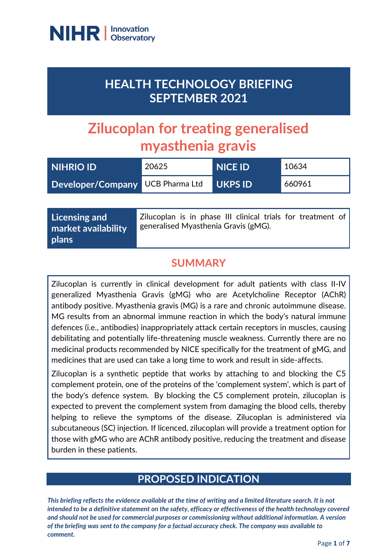

## **HEALTH TECHNOLOGY BRIEFING SEPTEMBER 2021**

# **Zilucoplan for treating generalised myasthenia gravis**

| <b>NIHRIO ID</b>                 | 20625 | <b>NICE ID</b> | 10634  |
|----------------------------------|-------|----------------|--------|
| Developer/Company UCB Pharma Ltd |       | <b>UKPS ID</b> | 660961 |

| Licensing and       | Zilucoplan is in phase III clinical trials for treatment of |  |
|---------------------|-------------------------------------------------------------|--|
| market availability | generalised Myasthenia Gravis (gMG).                        |  |
| plans               |                                                             |  |

## **SUMMARY**

Zilucoplan is currently in clinical development for adult patients with class II-IV generalized Myasthenia Gravis (gMG) who are Acetylcholine Receptor (AChR) antibody positive. Myasthenia gravis (MG) is a rare and chronic autoimmune disease. MG results from an abnormal immune reaction in which the body's natural immune defences (i.e., antibodies) inappropriately attack certain receptors in muscles, causing debilitating and potentially life-threatening muscle weakness. Currently there are no medicinal products recommended by NICE specifically for the treatment of gMG, and medicines that are used can take a long time to work and result in side-affects.

Zilucoplan is a synthetic peptide that works by attaching to and blocking the C5 complement protein, one of the proteins of the 'complement system', which is part of the body's defence system. By blocking the C5 complement protein, zilucoplan is expected to prevent the complement system from damaging the blood cells, thereby helping to relieve the symptoms of the disease. Zilucoplan is administered via subcutaneous (SC) injection. If licenced, zilucoplan will provide a treatment option for those with gMG who are AChR antibody positive, reducing the treatment and disease burden in these patients.

## **PROPOSED INDICATION**

*This briefing reflects the evidence available at the time of writing and a limited literature search. It is not intended to be a definitive statement on the safety, efficacy or effectiveness of the health technology covered and should not be used for commercial purposes or commissioning without additional information. A version of the briefing was sent to the company for a factual accuracy check. The company was available to comment.*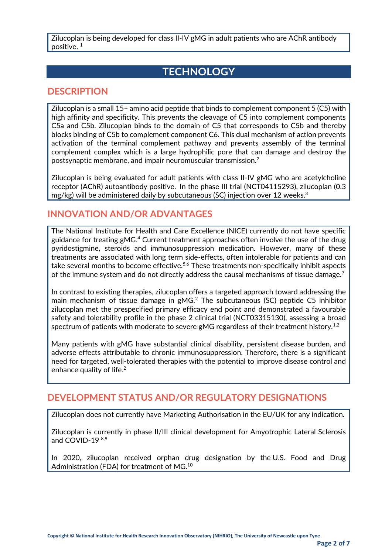Zilucoplan is being developed for class II-IV gMG in adult patients who are AChR antibody positive. 1

## **TECHNOLOGY**

#### **DESCRIPTION**

Zilucoplan is a small 15– amino acid peptide that binds to complement component 5 (C5) with high affinity and specificity. This prevents the cleavage of C5 into complement components C5a and C5b. Zilucoplan binds to the domain of C5 that corresponds to C5b and thereby blocks binding of C5b to complement component C6. This dual mechanism of action prevents activation of the terminal complement pathway and prevents assembly of the terminal complement complex which is a large hydrophilic pore that can damage and destroy the postsynaptic membrane, and impair neuromuscular transmission.<sup>2</sup>

Zilucoplan is being evaluated for adult patients with class II-IV gMG who are acetylcholine receptor (AChR) autoantibody positive. In the phase III trial (NCT04115293), zilucoplan (0.3 mg/kg) will be administered daily by subcutaneous (SC) injection over 12 weeks. 3

#### **INNOVATION AND/OR ADVANTAGES**

The National Institute for Health and Care Excellence (NICE) currently do not have specific guidance for treating gMG.<sup>4</sup> Current treatment approaches often involve the use of the drug pyridostigmine, steroids and immunosuppression medication. However, many of these treatments are associated with long term side-effects, often intolerable for patients and can take several months to become effective.<sup>5,6</sup> These treatments non-specifically inhibit aspects of the immune system and do not directly address the causal mechanisms of tissue damage.<sup>7</sup>

In contrast to existing therapies, zilucoplan offers a targeted approach toward addressing the main mechanism of tissue damage in gMG.<sup>2</sup> The subcutaneous (SC) peptide C5 inhibitor zilucoplan met the prespecified primary efficacy end point and demonstrated a favourable safety and tolerability profile in the phase 2 clinical trial (NCT03315130), assessing a broad spectrum of patients with moderate to severe gMG regardless of their treatment history.<sup>1,2</sup>

Many patients with gMG have substantial clinical disability, persistent disease burden, and adverse effects attributable to chronic immunosuppression. Therefore, there is a significant need for targeted, well-tolerated therapies with the potential to improve disease control and enhance quality of life.<sup>2</sup>

#### **DEVELOPMENT STATUS AND/OR REGULATORY DESIGNATIONS**

Zilucoplan does not currently have Marketing Authorisation in the EU/UK for any indication.

Zilucoplan is currently in phase II/III clinical development for Amyotrophic Lateral Sclerosis and COVID-19<sup>8,9</sup>

In 2020, zilucoplan received orphan drug designation by the U.S. Food and Drug Administration (FDA) for treatment of MG.<sup>10</sup>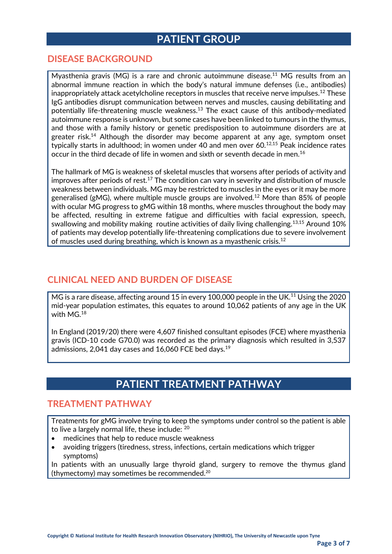## **PATIENT GROUP**

#### **DISEASE BACKGROUND**

Myasthenia gravis (MG) is a rare and chronic autoimmune disease.<sup>11</sup> MG results from an abnormal immune reaction in which the body's natural immune defenses (i.e., antibodies) inappropriately attack acetylcholine receptors in muscles that receive nerve impulses.<sup>12</sup> These IgG antibodies disrupt communication between nerves and muscles, causing debilitating and potentially life-threatening muscle weakness.<sup>13</sup> The exact cause of this antibody-mediated autoimmune response is unknown, but some cases have been linked to tumours in the thymus, and those with a family history or genetic predisposition to autoimmune disorders are at greater risk.<sup>14</sup> Although the disorder may become apparent at any age, symptom onset typically starts in adulthood; in women under 40 and men over  $60$ .<sup>12,15</sup> Peak incidence rates occur in the third decade of life in women and sixth or seventh decade in men.<sup>16</sup>

The hallmark of MG is weakness of skeletal muscles that worsens after periods of activity and improves after periods of rest.<sup>17</sup> The condition can vary in severity and distribution of muscle weakness between individuals. MG may be restricted to muscles in the eyes or it may be more generalised (gMG), where multiple muscle groups are involved.<sup>12</sup> More than 85% of people with ocular MG progress to gMG within 18 months, where muscles throughout the body may be affected, resulting in extreme fatigue and difficulties with facial expression, speech, swallowing and mobility making routine activities of daily living challenging.<sup>13,15</sup> Around 10% of patients may develop potentially life-threatening complications due to severe involvement of muscles used during breathing, which is known as a myasthenic crisis.<sup>12</sup>

#### **CLINICAL NEED AND BURDEN OF DISEASE**

MG is a rare disease, affecting around 15 in every 100,000 people in the UK.<sup>11</sup> Using the 2020 mid-year population estimates, this equates to around 10,062 patients of any age in the UK with  $MG<sup>18</sup>$ 

In England (2019/20) there were 4,607 finished consultant episodes (FCE) where myasthenia gravis (ICD-10 code G70.0) was recorded as the primary diagnosis which resulted in 3,537 admissions, 2,041 day cases and 16,060 FCE bed days.<sup>19</sup>

## **PATIENT TREATMENT PATHWAY**

#### **TREATMENT PATHWAY**

Treatments for gMG involve trying to keep the symptoms under control so the patient is able to live a largely normal life, these include: <sup>20</sup>

- medicines that help to reduce muscle weakness
- avoiding triggers (tiredness, stress, infections, certain medications which trigger symptoms)

In patients with an unusually large thyroid gland, surgery to remove the thymus gland (thymectomy) may sometimes be recommended.<sup>20</sup>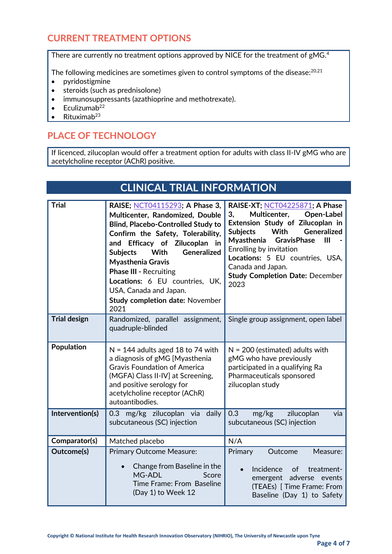## **CURRENT TREATMENT OPTIONS**

There are currently no treatment options approved by NICE for the treatment of gMG.<sup>4</sup>

The following medicines are sometimes given to control symptoms of the disease: 20,21

- pyridostigmine
- steroids (such as prednisolone)
- immunosuppressants (azathioprine and methotrexate).
- $\bullet$  Eculizumab<sup>22</sup>
- Rituximab<sup>23</sup>

## **PLACE OF TECHNOLOGY**

If licenced, zilucoplan would offer a treatment option for adults with class II-IV gMG who are acetylcholine receptor (AChR) positive.

## **CLINICAL TRIAL INFORMATION**

| <b>Trial</b>        | RAISE; NCT04115293; A Phase 3,<br>Multicenter, Randomized, Double<br><b>Blind, Placebo-Controlled Study to</b><br>Confirm the Safety, Tolerability,<br>and Efficacy of Zilucoplan in<br><b>Generalized</b><br>With<br><b>Subjects</b><br><b>Myasthenia Gravis</b><br><b>Phase III - Recruiting</b><br>Locations: 6 EU countries, UK,<br>USA, Canada and Japan.<br><b>Study completion date: November</b><br>2021 | RAISE-XT; NCT04225871; A Phase<br>3,<br>Multicenter,<br>Open-Label<br>Extension Study of Zilucoplan in<br>Generalized<br><b>Subjects</b><br>With<br>Myasthenia<br><b>GravisPhase</b><br>III<br>Enrolling by invitation<br>Locations: 5 EU countries, USA,<br>Canada and Japan.<br><b>Study Completion Date: December</b><br>2023 |
|---------------------|------------------------------------------------------------------------------------------------------------------------------------------------------------------------------------------------------------------------------------------------------------------------------------------------------------------------------------------------------------------------------------------------------------------|----------------------------------------------------------------------------------------------------------------------------------------------------------------------------------------------------------------------------------------------------------------------------------------------------------------------------------|
| <b>Trial design</b> | Randomized, parallel assignment,<br>quadruple-blinded                                                                                                                                                                                                                                                                                                                                                            | Single group assignment, open label                                                                                                                                                                                                                                                                                              |
| Population          | $N = 144$ adults aged 18 to 74 with<br>a diagnosis of gMG [Myasthenia<br><b>Gravis Foundation of America</b><br>(MGFA) Class II-IV] at Screening,<br>and positive serology for<br>acetylcholine receptor (AChR)<br>autoantibodies.                                                                                                                                                                               | $N = 200$ (estimated) adults with<br>gMG who have previously<br>participated in a qualifying Ra<br>Pharmaceuticals sponsored<br>zilucoplan study                                                                                                                                                                                 |
| Intervention(s)     | 0.3 mg/kg zilucoplan via daily<br>subcutaneous (SC) injection                                                                                                                                                                                                                                                                                                                                                    | 0.3<br>zilucoplan<br>mg/kg<br>via<br>subcutaneous (SC) injection                                                                                                                                                                                                                                                                 |
| Comparator(s)       | Matched placebo                                                                                                                                                                                                                                                                                                                                                                                                  | N/A                                                                                                                                                                                                                                                                                                                              |
| Outcome(s)          | <b>Primary Outcome Measure:</b>                                                                                                                                                                                                                                                                                                                                                                                  | Primary<br>Outcome<br>Measure:                                                                                                                                                                                                                                                                                                   |
|                     | Change from Baseline in the<br>MG-ADL<br>Score<br>Time Frame: From Baseline<br>(Day 1) to Week 12                                                                                                                                                                                                                                                                                                                | Incidence<br>of<br>treatment-<br>adverse<br>emergent<br>events<br>(TEAEs)   Time Frame: From<br>Baseline (Day 1) to Safety                                                                                                                                                                                                       |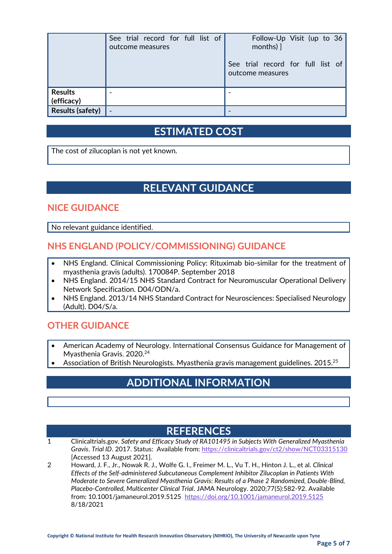|                              | See trial record for full list of<br>outcome measures | Follow-Up Visit (up to 36<br>months) $\vert$          |
|------------------------------|-------------------------------------------------------|-------------------------------------------------------|
|                              |                                                       | See trial record for full list of<br>outcome measures |
| <b>Results</b><br>(efficacy) |                                                       |                                                       |
| <b>Results (safety)</b>      |                                                       |                                                       |

## **ESTIMATED COST**

The cost of zilucoplan is not yet known.

## **RELEVANT GUIDANCE**

#### **NICE GUIDANCE**

No relevant guidance identified.

#### **NHS ENGLAND (POLICY/COMMISSIONING) GUIDANCE**

- NHS England. Clinical Commissioning Policy: Rituximab bio-similar for the treatment of myasthenia gravis (adults). 170084P. September 2018
- NHS England. 2014/15 NHS Standard Contract for Neuromuscular Operational Delivery Network Specification. D04/ODN/a.
- NHS England. 2013/14 NHS Standard Contract for Neurosciences: Specialised Neurology (Adult). D04/S/a.

#### **OTHER GUIDANCE**

- American Academy of Neurology. International Consensus Guidance for Management of Myasthenia Gravis. 2020.<sup>24</sup>
- Association of British Neurologists. Myasthenia gravis management guidelines. 2015.<sup>25</sup>

## **ADDITIONAL INFORMATION**

#### **REFERENCES**

- 1 Clinicaltrials.gov. *Safety and Efficacy Study of RA101495 in Subjects With Generalized Myasthenia Gravis*. *Trial ID*. 2017. Status: Available from:<https://clinicaltrials.gov/ct2/show/NCT03315130> [Accessed 13 August 2021].
- 2 Howard, J. F., Jr., Nowak R. J., Wolfe G. I., Freimer M. L., Vu T. H., Hinton J. L., et al. *Clinical Effects of the Self-administered Subcutaneous Complement Inhibitor Zilucoplan in Patients With Moderate to Severe Generalized Myasthenia Gravis: Results of a Phase 2 Randomized, Double-Blind, Placebo-Controlled, Multicenter Clinical Trial*. JAMA Neurology. 2020;77(5):582-92. Available from: 10.1001/jamaneurol.2019.5125 <https://doi.org/10.1001/jamaneurol.2019.5125> 8/18/2021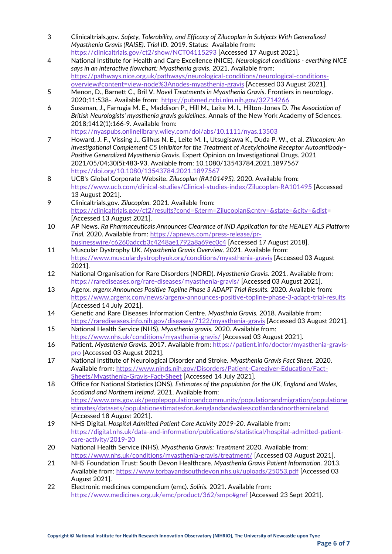- 3 Clinicaltrials.gov. *Safety, Tolerability, and Efficacy of Zilucoplan in Subjects With Generalized Myasthenia Gravis (RAISE)*. *Trial ID*. 2019. Status: Available from: <https://clinicaltrials.gov/ct2/show/NCT04115293> [Accessed 17 August 2021].
- 4 National Institute for Health and Care Excellence (NICE). *Neurological conditions - everthing NICE says in an interactive flowchart: Myasthenia gravis.* 2021. Available from: [https://pathways.nice.org.uk/pathways/neurological-conditions/neurological-conditions](https://pathways.nice.org.uk/pathways/neurological-conditions/neurological-conditions-overview#content=view-node%3Anodes-myasthenia-gravis)[overview#content=view-node%3Anodes-myasthenia-gravis](https://pathways.nice.org.uk/pathways/neurological-conditions/neurological-conditions-overview#content=view-node%3Anodes-myasthenia-gravis) [Accessed 03 August 2021].
- 5 Menon, D., Barnett C., Bril V. *Novel Treatments in Myasthenia Gravis*. Frontiers in neurology. 2020;11:538-. Available from: <https://pubmed.ncbi.nlm.nih.gov/32714266>
- 6 Sussman, J., Farrugia M. E., Maddison P., Hill M., Leite M. I., Hilton-Jones D. *The Association of British Neurologists' myasthenia gravis guidelines*. Annals of the New York Academy of Sciences. 2018;1412(1):166-9. Available from: <https://nyaspubs.onlinelibrary.wiley.com/doi/abs/10.1111/nyas.13503>
- 7 Howard, J. F., Vissing J., Gilhus N. E., Leite M. I., Utsugisawa K., Duda P. W., et al. *Zilucoplan: An Investigational Complement C5 Inhibitor for the Treatment of Acetylcholine Receptor Autoantibody– Positive Generalized Myasthenia Gravis*. Expert Opinion on Investigational Drugs. 2021 2021/05/04;30(5):483-93. Available from: 10.1080/13543784.2021.1897567 <https://doi.org/10.1080/13543784.2021.1897567>
- 8 UCB's Global Corporate Website. *Zilucoplan (RA101495).* 2020. Available from: <https://www.ucb.com/clinical-studies/Clinical-studies-index/Zilucoplan-RA101495> [Accessed 13 August 2021].
- 9 Clinicaltrials.gov. *Zilucoplan.* 2021. Available from: [https://clinicaltrials.gov/ct2/results?cond=&term=Zilucoplan&cntry=&state=&city=&dist=](https://clinicaltrials.gov/ct2/results?cond=&term=Zilucoplan&cntry=&state=&city=&dist) [Accessed 13 August 2021].
- 10 AP News. *Ra Pharmaceuticals Announces Clearance of IND Application for the HEALEY ALS Platform Trial.* 2020. Available from: [https://apnews.com/press-release/pr-](https://apnews.com/press-release/pr-businesswire/c6260adccb3c4248ae1792a8a69ec0c4)
- [businesswire/c6260adccb3c4248ae1792a8a69ec0c4](https://apnews.com/press-release/pr-businesswire/c6260adccb3c4248ae1792a8a69ec0c4) [Accessed 17 August 2018]. 11 Muscular Dystrophy UK. *Myasthenia Gravis Overview.* 2021. Available from: <https://www.musculardystrophyuk.org/conditions/myasthenia-gravis> [Accessed 03 August 2021].
- 12 National Organisation for Rare Disorders (NORD). *Myasthenia Gravis.* 2021. Available from: <https://rarediseases.org/rare-diseases/myasthenia-gravis/> [Accessed 03 August 2021].
- 13 Agenx. *argenx Announces Positive Topline Phase 3 ADAPT Trial Results.* 2020. Available from: <https://www.argenx.com/news/argenx-announces-positive-topline-phase-3-adapt-trial-results> [Accessed 14 July 2021].
- 14 Genetic and Rare Diseases Information Centre. *Myasthnia Gravis.* 2018. Available from: <https://rarediseases.info.nih.gov/diseases/7122/myasthenia-gravis> [Accessed 03 August 2021].
- 15 National Health Service (NHS). *Myasthenia gravis.* 2020. Available from: <https://www.nhs.uk/conditions/myasthenia-gravis/> [Accessed 03 August 2021].
- 16 Patient. *Myasthenia Gravis.* 2017. Available from: [https://patient.info/doctor/myasthenia-gravis](https://patient.info/doctor/myasthenia-gravis-pro)[pro](https://patient.info/doctor/myasthenia-gravis-pro) [Accessed 03 August 2021].
- 17 National Institute of Neurological Disorder and Stroke. *Myasthenia Gravis Fact Sheet.* 2020. Available from: [https://www.ninds.nih.gov/Disorders/Patient-Caregiver-Education/Fact-](https://www.ninds.nih.gov/Disorders/Patient-Caregiver-Education/Fact-Sheets/Myasthenia-Gravis-Fact-Sheet)[Sheets/Myasthenia-Gravis-Fact-Sheet](https://www.ninds.nih.gov/Disorders/Patient-Caregiver-Education/Fact-Sheets/Myasthenia-Gravis-Fact-Sheet) [Accessed 14 July 2021].
- 18 Office for National Statistics (ONS). *Estimates of the population for the UK, England and Wales, Scotland and Northern Ireland.* 2021. Available from: [https://www.ons.gov.uk/peoplepopulationandcommunity/populationandmigration/populatione](https://www.ons.gov.uk/peoplepopulationandcommunity/populationandmigration/populationestimates/datasets/populationestimatesforukenglandandwalesscotlandandnorthernireland) [stimates/datasets/populationestimatesforukenglandandwalesscotlandandnorthernireland](https://www.ons.gov.uk/peoplepopulationandcommunity/populationandmigration/populationestimates/datasets/populationestimatesforukenglandandwalesscotlandandnorthernireland) [Accessed 18 August 2021].
- 19 NHS Digital. *Hospital Admitted Patient Care Activity 2019-20*. Available from: [https://digital.nhs.uk/data-and-information/publications/statistical/hospital-admitted-patient](https://digital.nhs.uk/data-and-information/publications/statistical/hospital-admitted-patient-care-activity/2019-20)[care-activity/2019-20](https://digital.nhs.uk/data-and-information/publications/statistical/hospital-admitted-patient-care-activity/2019-20)
- 20 National Health Service (NHS). *Myasthenia Gravis: Treatment* 2020. Available from: <https://www.nhs.uk/conditions/myasthenia-gravis/treatment/> [Accessed 03 August 2021].
- 21 NHS Foundation Trust: South Devon Healthcare. *Myasthenia Gravis Patient Information.* 2013. Available from:<https://www.torbayandsouthdevon.nhs.uk/uploads/25053.pdf> [Accessed 03 August 2021].
- 22 Electronic medicines compendium (emc). *Soliris.* 2021. Available from: <https://www.medicines.org.uk/emc/product/362/smpc#gref> [Accessed 23 Sept 2021].